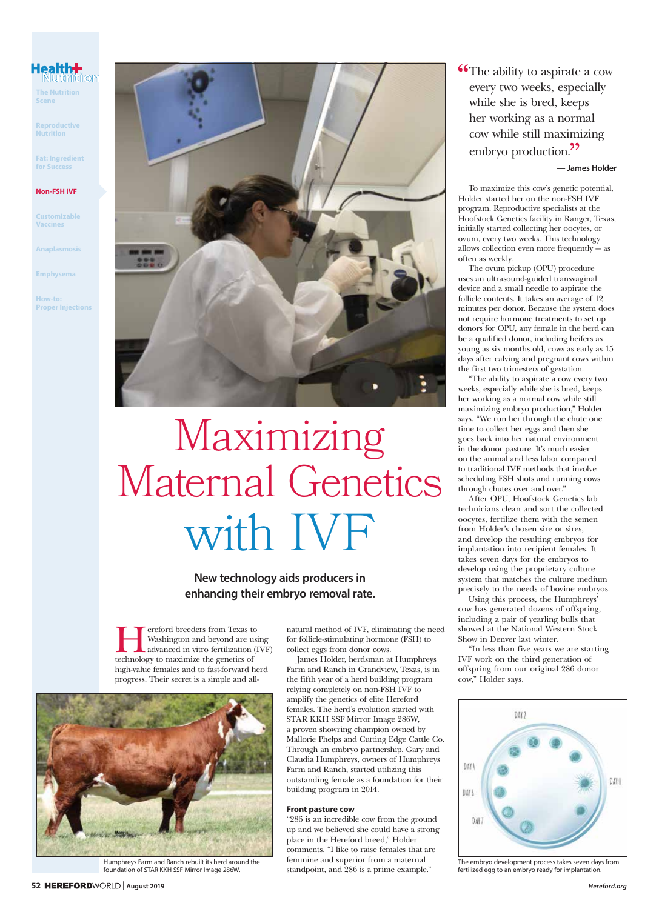## **Health<del>l.</del>**<br>Nutrition

**The Nutrition Scene**

**Reproductive Nutrition**

**Fat: Ingredient for Success**

#### **Non-FSH IVF**

**Customizable Vaccines**

**Anaplasmosis**

**Emphysema**

**How-to: Proper Injections**



# Maximizing Maternal Genetics with IVF

**New technology aids producers in enhancing their embryo removal rate.** 

**Hereford breeders from Texas to**<br>Washington and beyond are usi<br>advanced in vitro fertilization (If<br>technology to maximize the genetics of Washington and beyond are using advanced in vitro fertilization (IVF) technology to maximize the genetics of high-value females and to fast-forward herd progress. Their secret is a simple and all-



Humphreys Farm and Ranch rebuilt its herd around the foundation of STAR KKH SSF Mirror Image 286W.

natural method of IVF, eliminating the need for follicle-stimulating hormone (FSH) to collect eggs from donor cows.

James Holder, herdsman at Humphreys Farm and Ranch in Grandview, Texas, is in the fifth year of a herd building program relying completely on non-FSH IVF to amplify the genetics of elite Hereford females. The herd's evolution started with STAR KKH SSF Mirror Image 286W, a proven showring champion owned by Mallorie Phelps and Cutting Edge Cattle Co. Through an embryo partnership, Gary and Claudia Humphreys, owners of Humphreys Farm and Ranch, started utilizing this outstanding female as a foundation for their building program in 2014.

#### **Front pasture cow**

"286 is an incredible cow from the ground up and we believed she could have a strong place in the Hereford breed," Holder comments. "I like to raise females that are feminine and superior from a maternal standpoint, and 286 is a prime example."

**The ability to aspirate a cow** every two weeks, especially while she is bred, keeps her working as a normal cow while still maximizing embryo production.<sup>??</sup>

#### **— James Holder**

To maximize this cow's genetic potential, Holder started her on the non-FSH IVF program. Reproductive specialists at the Hoofstock Genetics facility in Ranger, Texas, initially started collecting her oocytes, or ovum, every two weeks. This technology allows collection even more frequently — as often as weekly.

The ovum pickup (OPU) procedure uses an ultrasound-guided transvaginal device and a small needle to aspirate the follicle contents. It takes an average of 12 minutes per donor. Because the system does not require hormone treatments to set up donors for OPU, any female in the herd can be a qualified donor, including heifers as young as six months old, cows as early as 15 days after calving and pregnant cows within the first two trimesters of gestation.

"The ability to aspirate a cow every two weeks, especially while she is bred, keeps her working as a normal cow while still maximizing embryo production," Holder says. "We run her through the chute one time to collect her eggs and then she goes back into her natural environment in the donor pasture. It's much easier on the animal and less labor compared to traditional IVF methods that involve scheduling FSH shots and running cows through chutes over and over."

After OPU, Hoofstock Genetics lab technicians clean and sort the collected oocytes, fertilize them with the semen from Holder's chosen sire or sires, and develop the resulting embryos for implantation into recipient females. It takes seven days for the embryos to develop using the proprietary culture system that matches the culture medium precisely to the needs of bovine embryos.

Using this process, the Humphreys' cow has generated dozens of offspring, including a pair of yearling bulls that showed at the National Western Stock Show in Denver last winter.

"In less than five years we are starting IVF work on the third generation of offspring from our original 286 donor cow," Holder says.



The embryo development process takes seven days from fertilized egg to an embryo ready for implantation.